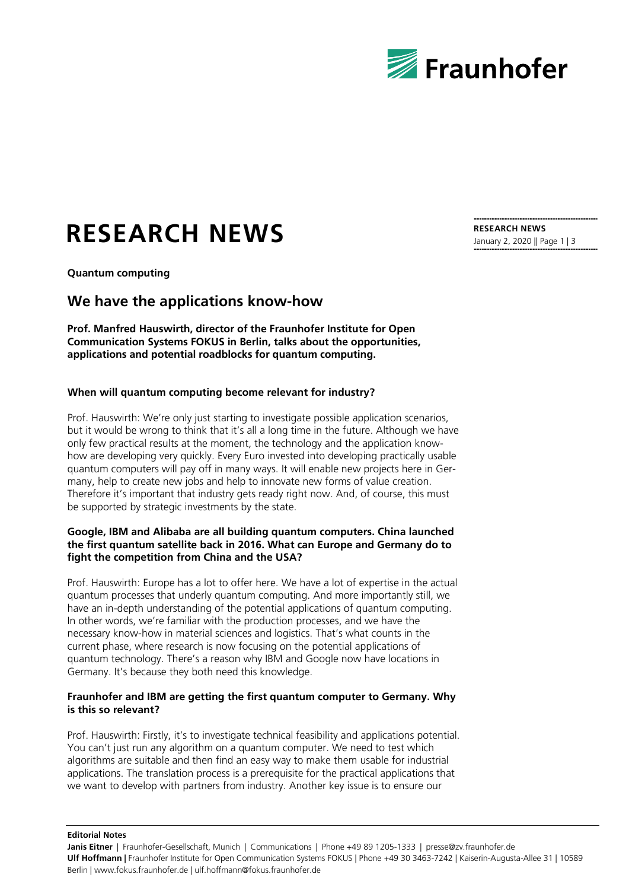

# **RESEARCH NEWS**

**Quantum computing**

# **We have the applications know-how**

**Prof. Manfred Hauswirth, director of the Fraunhofer Institute for Open Communication Systems FOKUS in Berlin, talks about the opportunities, applications and potential roadblocks for quantum computing.**

## **When will quantum computing become relevant for industry?**

Prof. Hauswirth: We're only just starting to investigate possible application scenarios, but it would be wrong to think that it's all a long time in the future. Although we have only few practical results at the moment, the technology and the application knowhow are developing very quickly. Every Euro invested into developing practically usable quantum computers will pay off in many ways. It will enable new projects here in Germany, help to create new jobs and help to innovate new forms of value creation. Therefore it's important that industry gets ready right now. And, of course, this must be supported by strategic investments by the state.

#### **Google, IBM and Alibaba are all building quantum computers. China launched the first quantum satellite back in 2016. What can Europe and Germany do to fight the competition from China and the USA?**

Prof. Hauswirth: Europe has a lot to offer here. We have a lot of expertise in the actual quantum processes that underly quantum computing. And more importantly still, we have an in-depth understanding of the potential applications of quantum computing. In other words, we're familiar with the production processes, and we have the necessary know-how in material sciences and logistics. That's what counts in the current phase, where research is now focusing on the potential applications of quantum technology. There's a reason why IBM and Google now have locations in Germany. It's because they both need this knowledge.

#### **Fraunhofer and IBM are getting the first quantum computer to Germany. Why is this so relevant?**

Prof. Hauswirth: Firstly, it's to investigate technical feasibility and applications potential. You can't just run any algorithm on a quantum computer. We need to test which algorithms are suitable and then find an easy way to make them usable for industrial applications. The translation process is a prerequisite for the practical applications that we want to develop with partners from industry. Another key issue is to ensure our

**RESEARCH NEWS** January 2, 2020 || Page 1 | 3

**Editorial Notes**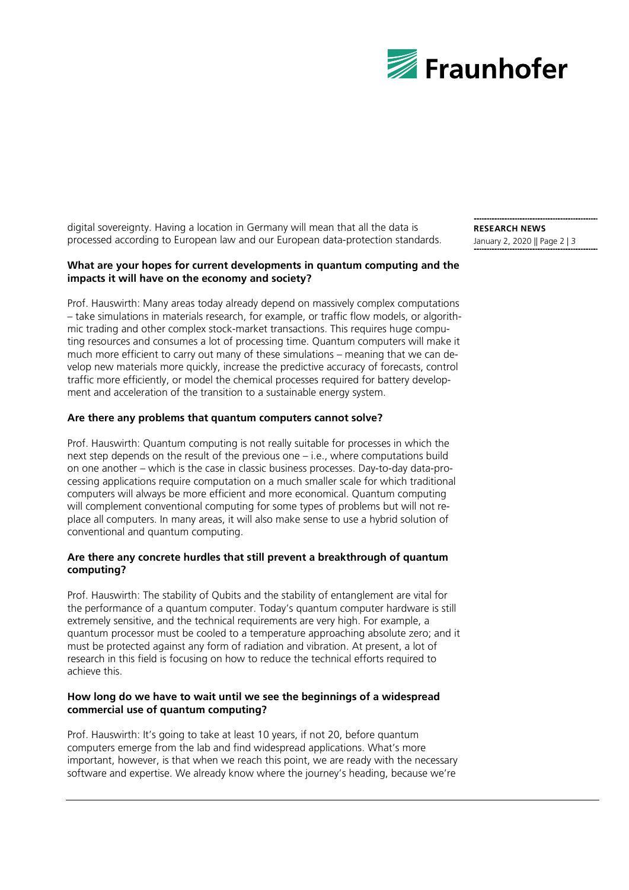

digital sovereignty. Having a location in Germany will mean that all the data is processed according to European law and our European data-protection standards.

#### **What are your hopes for current developments in quantum computing and the impacts it will have on the economy and society?**

Prof. Hauswirth: Many areas today already depend on massively complex computations – take simulations in materials research, for example, or traffic flow models, or algorithmic trading and other complex stock-market transactions. This requires huge computing resources and consumes a lot of processing time. Quantum computers will make it much more efficient to carry out many of these simulations – meaning that we can develop new materials more quickly, increase the predictive accuracy of forecasts, control traffic more efficiently, or model the chemical processes required for battery development and acceleration of the transition to a sustainable energy system.

#### **Are there any problems that quantum computers cannot solve?**

Prof. Hauswirth: Quantum computing is not really suitable for processes in which the next step depends on the result of the previous one – i.e., where computations build on one another – which is the case in classic business processes. Day-to-day data-processing applications require computation on a much smaller scale for which traditional computers will always be more efficient and more economical. Quantum computing will complement conventional computing for some types of problems but will not replace all computers. In many areas, it will also make sense to use a hybrid solution of conventional and quantum computing.

## **Are there any concrete hurdles that still prevent a breakthrough of quantum computing?**

Prof. Hauswirth: The stability of Qubits and the stability of entanglement are vital for the performance of a quantum computer. Today's quantum computer hardware is still extremely sensitive, and the technical requirements are very high. For example, a quantum processor must be cooled to a temperature approaching absolute zero; and it must be protected against any form of radiation and vibration. At present, a lot of research in this field is focusing on how to reduce the technical efforts required to achieve this.

#### **How long do we have to wait until we see the beginnings of a widespread commercial use of quantum computing?**

Prof. Hauswirth: It's going to take at least 10 years, if not 20, before quantum computers emerge from the lab and find widespread applications. What's more important, however, is that when we reach this point, we are ready with the necessary software and expertise. We already know where the journey's heading, because we're

**RESEARCH NEWS** January 2, 2020 || Page 2 | 3